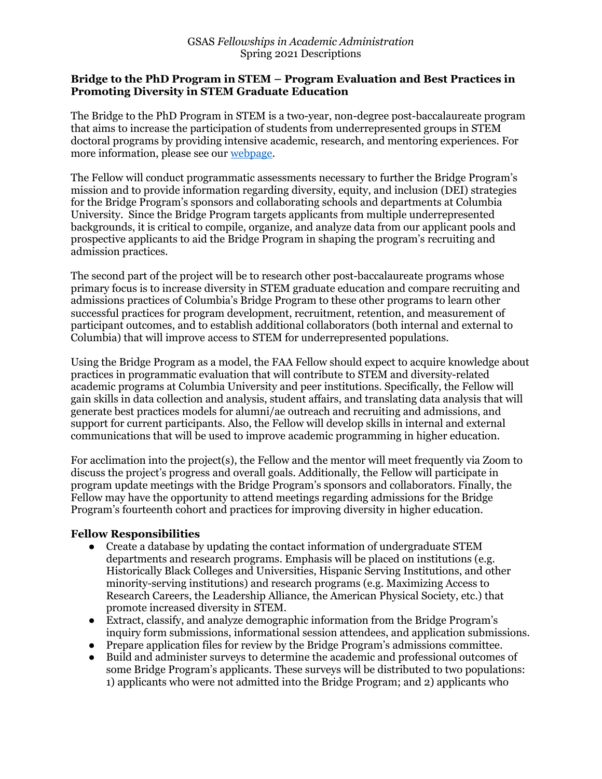#### **Bridge to the PhD Program in STEM – Program Evaluation and Best Practices in Promoting Diversity in STEM Graduate Education**

The Bridge to the PhD Program in STEM is a two-year, non-degree post-baccalaureate program that aims to increase the participation of students from underrepresented groups in STEM doctoral programs by providing intensive academic, research, and mentoring experiences. For more information, please see our webpage.

The Fellow will conduct programmatic assessments necessary to further the Bridge Program's mission and to provide information regarding diversity, equity, and inclusion (DEI) strategies for the Bridge Program's sponsors and collaborating schools and departments at Columbia University. Since the Bridge Program targets applicants from multiple underrepresented backgrounds, it is critical to compile, organize, and analyze data from our applicant pools and prospective applicants to aid the Bridge Program in shaping the program's recruiting and admission practices.

The second part of the project will be to research other post-baccalaureate programs whose primary focus is to increase diversity in STEM graduate education and compare recruiting and admissions practices of Columbia's Bridge Program to these other programs to learn other successful practices for program development, recruitment, retention, and measurement of participant outcomes, and to establish additional collaborators (both internal and external to Columbia) that will improve access to STEM for underrepresented populations.

Using the Bridge Program as a model, the FAA Fellow should expect to acquire knowledge about practices in programmatic evaluation that will contribute to STEM and diversity-related academic programs at Columbia University and peer institutions. Specifically, the Fellow will gain skills in data collection and analysis, student affairs, and translating data analysis that will generate best practices models for alumni/ae outreach and recruiting and admissions, and support for current participants. Also, the Fellow will develop skills in internal and external communications that will be used to improve academic programming in higher education.

For acclimation into the project(s), the Fellow and the mentor will meet frequently via Zoom to discuss the project's progress and overall goals. Additionally, the Fellow will participate in program update meetings with the Bridge Program's sponsors and collaborators. Finally, the Fellow may have the opportunity to attend meetings regarding admissions for the Bridge Program's fourteenth cohort and practices for improving diversity in higher education.

## **Fellow Responsibilities**

- Create a database by updating the contact information of undergraduate STEM departments and research programs. Emphasis will be placed on institutions (e.g. Historically Black Colleges and Universities, Hispanic Serving Institutions, and other minority-serving institutions) and research programs (e.g. Maximizing Access to Research Careers, the Leadership Alliance, the American Physical Society, etc.) that promote increased diversity in STEM.
- Extract, classify, and analyze demographic information from the Bridge Program's inquiry form submissions, informational session attendees, and application submissions.
- Prepare application files for review by the Bridge Program's admissions committee.
- Build and administer surveys to determine the academic and professional outcomes of some Bridge Program's applicants. These surveys will be distributed to two populations: 1) applicants who were not admitted into the Bridge Program; and 2) applicants who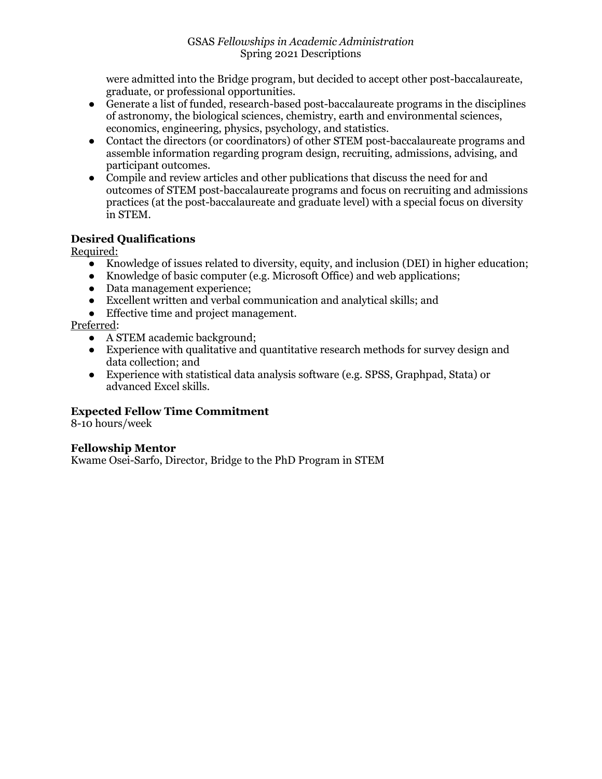were admitted into the Bridge program, but decided to accept other post-baccalaureate, graduate, or professional opportunities.

- Generate a list of funded, research-based post-baccalaureate programs in the disciplines of astronomy, the biological sciences, chemistry, earth and environmental sciences, economics, engineering, physics, psychology, and statistics.
- Contact the directors (or coordinators) of other STEM post-baccalaureate programs and assemble information regarding program design, recruiting, admissions, advising, and participant outcomes.
- Compile and review articles and other publications that discuss the need for and outcomes of STEM post-baccalaureate programs and focus on recruiting and admissions practices (at the post-baccalaureate and graduate level) with a special focus on diversity in STEM.

# **Desired Qualifications**

Required:

- Knowledge of issues related to diversity, equity, and inclusion (DEI) in higher education;
- Knowledge of basic computer (e.g. Microsoft Office) and web applications;
- Data management experience;
- Excellent written and verbal communication and analytical skills; and
- Effective time and project management.

#### Preferred:

- A STEM academic background;
- Experience with qualitative and quantitative research methods for survey design and data collection; and
- Experience with statistical data analysis software (e.g. SPSS, Graphpad, Stata) or advanced Excel skills.

## **Expected Fellow Time Commitment**

8-10 hours/week

## **Fellowship Mentor**

Kwame Osei-Sarfo, Director, Bridge to the PhD Program in STEM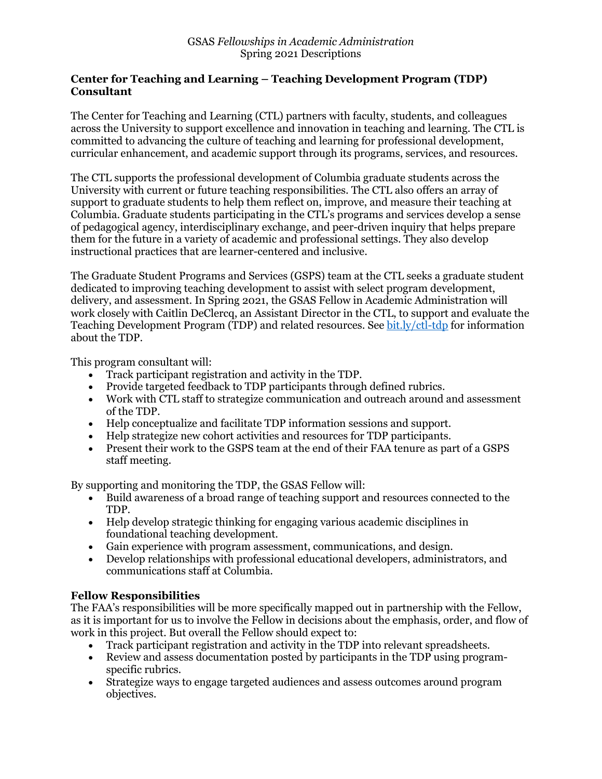## **Center for Teaching and Learning – Teaching Development Program (TDP) Consultant**

The Center for Teaching and Learning (CTL) partners with faculty, students, and colleagues across the University to support excellence and innovation in teaching and learning. The CTL is committed to advancing the culture of teaching and learning for professional development, curricular enhancement, and academic support through its programs, services, and resources.

The CTL supports the professional development of Columbia graduate students across the University with current or future teaching responsibilities. The CTL also offers an array of support to graduate students to help them reflect on, improve, and measure their teaching at Columbia. Graduate students participating in the CTL's programs and services develop a sense of pedagogical agency, interdisciplinary exchange, and peer-driven inquiry that helps prepare them for the future in a variety of academic and professional settings. They also develop instructional practices that are learner-centered and inclusive.

The Graduate Student Programs and Services (GSPS) team at the CTL seeks a graduate student dedicated to improving teaching development to assist with select program development, delivery, and assessment. In Spring 2021, the GSAS Fellow in Academic Administration will work closely with Caitlin DeClercq, an Assistant Director in the CTL, to support and evaluate the Teaching Development Program (TDP) and related resources. See bit.ly/ctl-tdp for information about the TDP.

This program consultant will:

- Track participant registration and activity in the TDP.
- Provide targeted feedback to TDP participants through defined rubrics.
- Work with CTL staff to strategize communication and outreach around and assessment of the TDP.
- Help conceptualize and facilitate TDP information sessions and support.
- Help strategize new cohort activities and resources for TDP participants.
- Present their work to the GSPS team at the end of their FAA tenure as part of a GSPS staff meeting.

By supporting and monitoring the TDP, the GSAS Fellow will:

- Build awareness of a broad range of teaching support and resources connected to the TDP.
- Help develop strategic thinking for engaging various academic disciplines in foundational teaching development.
- Gain experience with program assessment, communications, and design.
- Develop relationships with professional educational developers, administrators, and communications staff at Columbia.

## **Fellow Responsibilities**

The FAA's responsibilities will be more specifically mapped out in partnership with the Fellow, as it is important for us to involve the Fellow in decisions about the emphasis, order, and flow of work in this project. But overall the Fellow should expect to:

- Track participant registration and activity in the TDP into relevant spreadsheets.
- Review and assess documentation posted by participants in the TDP using programspecific rubrics.
- Strategize ways to engage targeted audiences and assess outcomes around program objectives.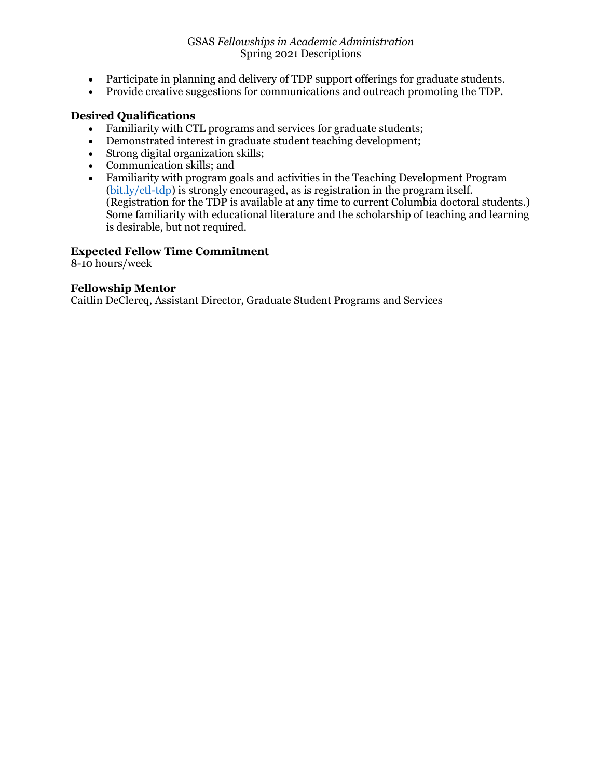- Participate in planning and delivery of TDP support offerings for graduate students.
- Provide creative suggestions for communications and outreach promoting the TDP.

# **Desired Qualifications**

- Familiarity with CTL programs and services for graduate students;
- Demonstrated interest in graduate student teaching development;
- Strong digital organization skills;
- Communication skills; and
- Familiarity with program goals and activities in the Teaching Development Program (bit.ly/ctl-tdp) is strongly encouraged, as is registration in the program itself. (Registration for the TDP is available at any time to current Columbia doctoral students.) Some familiarity with educational literature and the scholarship of teaching and learning is desirable, but not required.

# **Expected Fellow Time Commitment**

8-10 hours/week

## **Fellowship Mentor**

Caitlin DeClercq, Assistant Director, Graduate Student Programs and Services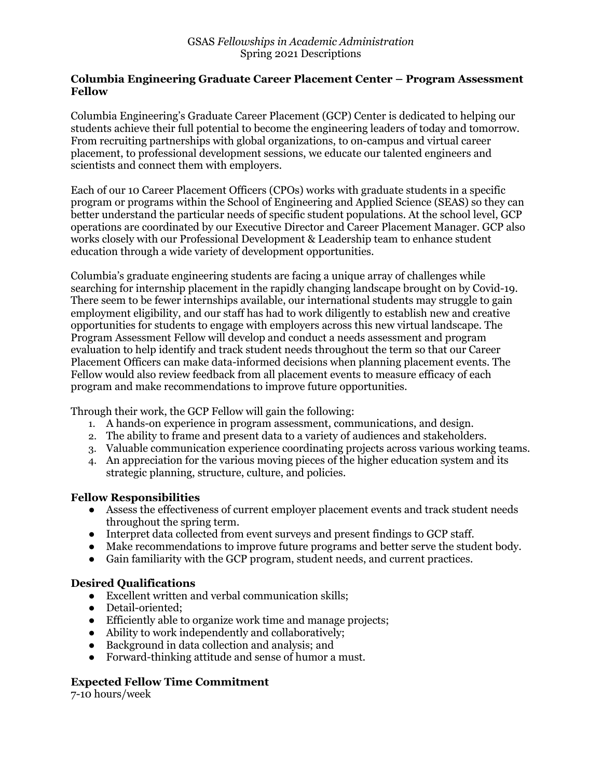#### **Columbia Engineering Graduate Career Placement Center – Program Assessment Fellow**

Columbia Engineering's Graduate Career Placement (GCP) Center is dedicated to helping our students achieve their full potential to become the engineering leaders of today and tomorrow. From recruiting partnerships with global organizations, to on-campus and virtual career placement, to professional development sessions, we educate our talented engineers and scientists and connect them with employers.

Each of our 10 Career Placement Officers (CPOs) works with graduate students in a specific program or programs within the School of Engineering and Applied Science (SEAS) so they can better understand the particular needs of specific student populations. At the school level, GCP operations are coordinated by our Executive Director and Career Placement Manager. GCP also works closely with our Professional Development & Leadership team to enhance student education through a wide variety of development opportunities.

Columbia's graduate engineering students are facing a unique array of challenges while searching for internship placement in the rapidly changing landscape brought on by Covid-19. There seem to be fewer internships available, our international students may struggle to gain employment eligibility, and our staff has had to work diligently to establish new and creative opportunities for students to engage with employers across this new virtual landscape. The Program Assessment Fellow will develop and conduct a needs assessment and program evaluation to help identify and track student needs throughout the term so that our Career Placement Officers can make data-informed decisions when planning placement events. The Fellow would also review feedback from all placement events to measure efficacy of each program and make recommendations to improve future opportunities.

Through their work, the GCP Fellow will gain the following:

- 1. A hands-on experience in program assessment, communications, and design.
- 2. The ability to frame and present data to a variety of audiences and stakeholders.
- 3. Valuable communication experience coordinating projects across various working teams.
- 4. An appreciation for the various moving pieces of the higher education system and its strategic planning, structure, culture, and policies.

## **Fellow Responsibilities**

- Assess the effectiveness of current employer placement events and track student needs throughout the spring term.
- Interpret data collected from event surveys and present findings to GCP staff.
- Make recommendations to improve future programs and better serve the student body.
- Gain familiarity with the GCP program, student needs, and current practices.

## **Desired Qualifications**

- Excellent written and verbal communication skills;
- Detail-oriented;
- Efficiently able to organize work time and manage projects;
- Ability to work independently and collaboratively;
- Background in data collection and analysis; and
- Forward-thinking attitude and sense of humor a must.

# **Expected Fellow Time Commitment**

7-10 hours/week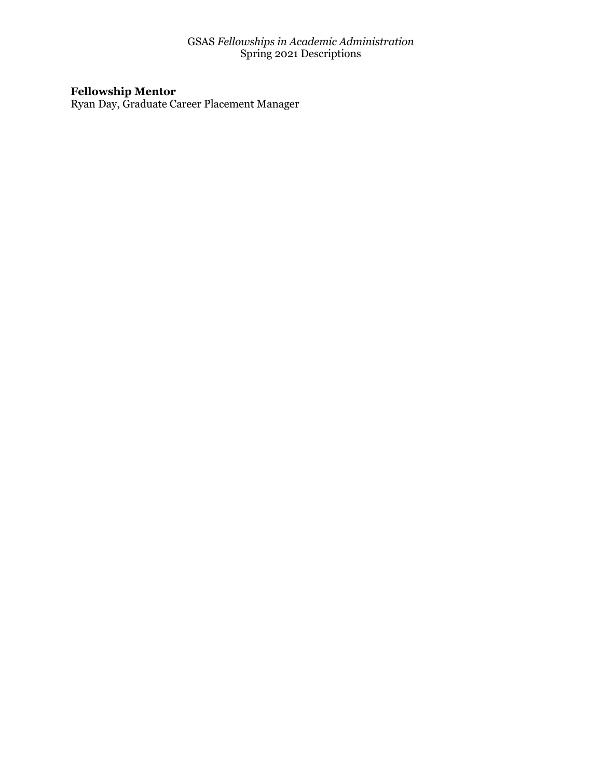#### **Fellowship Mentor**

Ryan Day, Graduate Career Placement Manager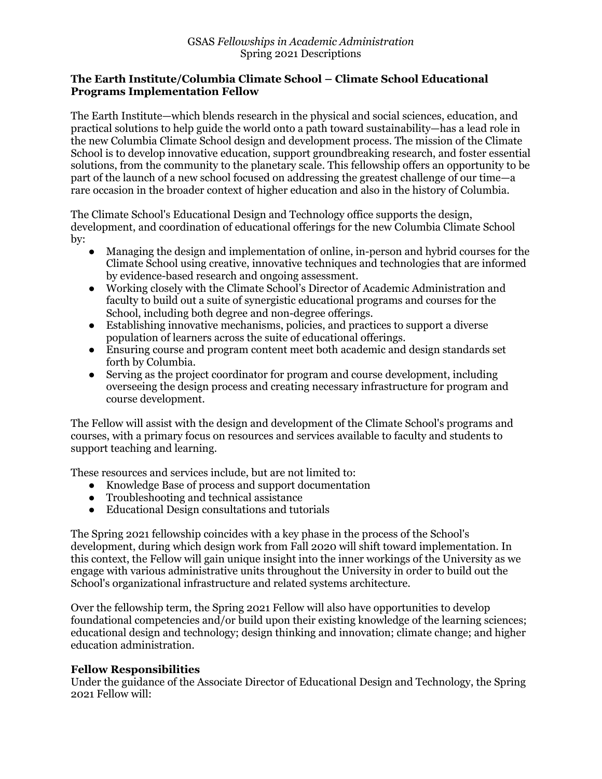## **The Earth Institute/Columbia Climate School – Climate School Educational Programs Implementation Fellow**

The Earth Institute—which blends research in the physical and social sciences, education, and practical solutions to help guide the world onto a path toward sustainability—has a lead role in the new Columbia Climate School design and development process. The mission of the Climate School is to develop innovative education, support groundbreaking research, and foster essential solutions, from the community to the planetary scale. This fellowship offers an opportunity to be part of the launch of a new school focused on addressing the greatest challenge of our time—a rare occasion in the broader context of higher education and also in the history of Columbia.

The Climate School's Educational Design and Technology office supports the design, development, and coordination of educational offerings for the new Columbia Climate School by:

- Managing the design and implementation of online, in-person and hybrid courses for the Climate School using creative, innovative techniques and technologies that are informed by evidence-based research and ongoing assessment.
- Working closely with the Climate School's Director of Academic Administration and faculty to build out a suite of synergistic educational programs and courses for the School, including both degree and non-degree offerings.
- Establishing innovative mechanisms, policies, and practices to support a diverse population of learners across the suite of educational offerings.
- Ensuring course and program content meet both academic and design standards set forth by Columbia.
- Serving as the project coordinator for program and course development, including overseeing the design process and creating necessary infrastructure for program and course development.

The Fellow will assist with the design and development of the Climate School's programs and courses, with a primary focus on resources and services available to faculty and students to support teaching and learning.

These resources and services include, but are not limited to:

- Knowledge Base of process and support documentation
- Troubleshooting and technical assistance
- Educational Design consultations and tutorials

The Spring 2021 fellowship coincides with a key phase in the process of the School's development, during which design work from Fall 2020 will shift toward implementation. In this context, the Fellow will gain unique insight into the inner workings of the University as we engage with various administrative units throughout the University in order to build out the School's organizational infrastructure and related systems architecture.

Over the fellowship term, the Spring 2021 Fellow will also have opportunities to develop foundational competencies and/or build upon their existing knowledge of the learning sciences; educational design and technology; design thinking and innovation; climate change; and higher education administration.

## **Fellow Responsibilities**

Under the guidance of the Associate Director of Educational Design and Technology, the Spring 2021 Fellow will: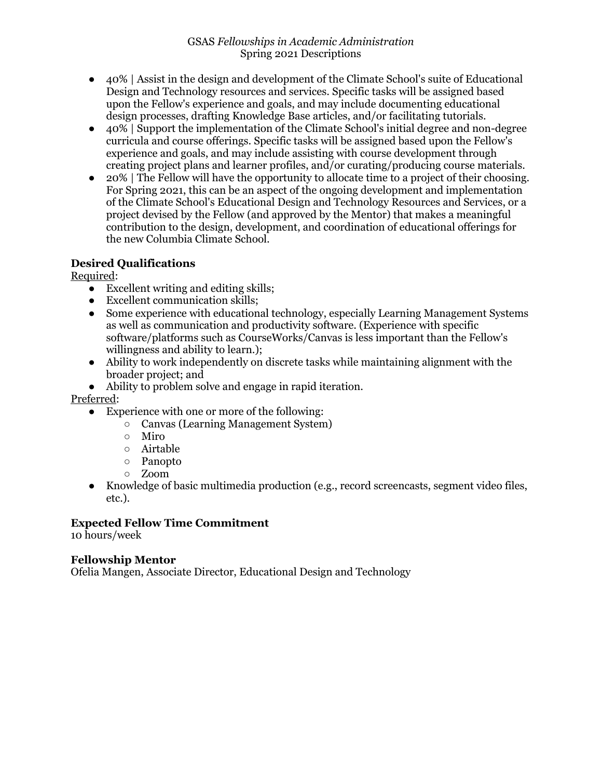- 40% | Assist in the design and development of the Climate School's suite of Educational Design and Technology resources and services. Specific tasks will be assigned based upon the Fellow's experience and goals, and may include documenting educational design processes, drafting Knowledge Base articles, and/or facilitating tutorials.
- 40% | Support the implementation of the Climate School's initial degree and non-degree curricula and course offerings. Specific tasks will be assigned based upon the Fellow's experience and goals, and may include assisting with course development through creating project plans and learner profiles, and/or curating/producing course materials.
- 20% | The Fellow will have the opportunity to allocate time to a project of their choosing. For Spring 2021, this can be an aspect of the ongoing development and implementation of the Climate School's Educational Design and Technology Resources and Services, or a project devised by the Fellow (and approved by the Mentor) that makes a meaningful contribution to the design, development, and coordination of educational offerings for the new Columbia Climate School.

# **Desired Qualifications**

Required:

- Excellent writing and editing skills:
- Excellent communication skills;
- Some experience with educational technology, especially Learning Management Systems as well as communication and productivity software. (Experience with specific software/platforms such as CourseWorks/Canvas is less important than the Fellow's willingness and ability to learn.);
- Ability to work independently on discrete tasks while maintaining alignment with the broader project; and
- Ability to problem solve and engage in rapid iteration.

Preferred:

- Experience with one or more of the following:
	- Canvas (Learning Management System)
	- Miro
	- Airtable
	- Panopto
	- Zoom
- Knowledge of basic multimedia production (e.g., record screencasts, segment video files, etc.).

# **Expected Fellow Time Commitment**

10 hours/week

# **Fellowship Mentor**

Ofelia Mangen, Associate Director, Educational Design and Technology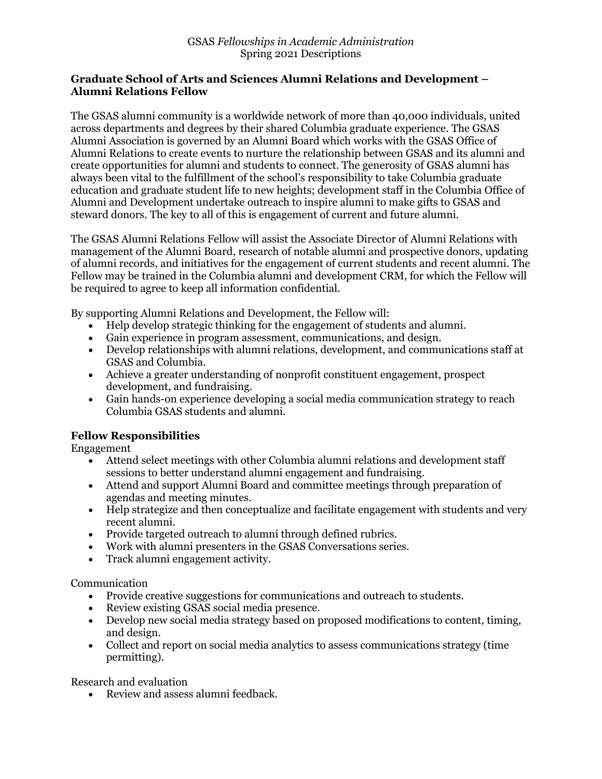#### **Graduate School of Arts and Sciences Alumni Relations and Development – Alumni Relations Fellow**

The GSAS alumni community is a worldwide network of more than 40,000 individuals, united across departments and degrees by their shared Columbia graduate experience. The GSAS Alumni Association is governed by an Alumni Board which works with the GSAS Office of Alumni Relations to create events to nurture the relationship between GSAS and its alumni and create opportunities for alumni and students to connect. The generosity of GSAS alumni has always been vital to the fulfillment of the school's responsibility to take Columbia graduate education and graduate student life to new heights; development staff in the Columbia Office of Alumni and Development undertake outreach to inspire alumni to make gifts to GSAS and steward donors. The key to all of this is engagement of current and future alumni.

The GSAS Alumni Relations Fellow will assist the Associate Director of Alumni Relations with management of the Alumni Board, research of notable alumni and prospective donors, updating of alumni records, and initiatives for the engagement of current students and recent alumni. The Fellow may be trained in the Columbia alumni and development CRM, for which the Fellow will be required to agree to keep all information confidential.

By supporting Alumni Relations and Development, the Fellow will:

- Help develop strategic thinking for the engagement of students and alumni.
- Gain experience in program assessment, communications, and design.
- Develop relationships with alumni relations, development, and communications staff at GSAS and Columbia.
- Achieve a greater understanding of nonprofit constituent engagement, prospect development, and fundraising.
- Gain hands-on experience developing a social media communication strategy to reach Columbia GSAS students and alumni.

## **Fellow Responsibilities**

Engagement

- Attend select meetings with other Columbia alumni relations and development staff sessions to better understand alumni engagement and fundraising.
- Attend and support Alumni Board and committee meetings through preparation of agendas and meeting minutes.
- Help strategize and then conceptualize and facilitate engagement with students and very recent alumni.
- Provide targeted outreach to alumni through defined rubrics.
- Work with alumni presenters in the GSAS Conversations series.
- Track alumni engagement activity.

Communication

- Provide creative suggestions for communications and outreach to students.
- Review existing GSAS social media presence.
- Develop new social media strategy based on proposed modifications to content, timing, and design.
- Collect and report on social media analytics to assess communications strategy (time permitting).

Research and evaluation

• Review and assess alumni feedback.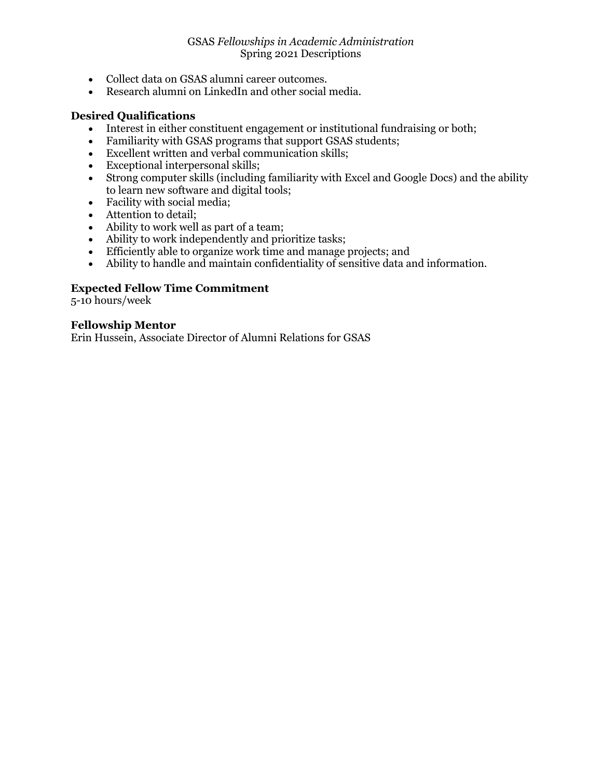- Collect data on GSAS alumni career outcomes.
- Research alumni on LinkedIn and other social media.

#### **Desired Qualifications**

- Interest in either constituent engagement or institutional fundraising or both;
- Familiarity with GSAS programs that support GSAS students;
- Excellent written and verbal communication skills;
- Exceptional interpersonal skills;
- Strong computer skills (including familiarity with Excel and Google Docs) and the ability to learn new software and digital tools;
- Facility with social media;
- Attention to detail;
- Ability to work well as part of a team;
- Ability to work independently and prioritize tasks;
- Efficiently able to organize work time and manage projects; and
- Ability to handle and maintain confidentiality of sensitive data and information.

## **Expected Fellow Time Commitment**

5-10 hours/week

#### **Fellowship Mentor**

Erin Hussein, Associate Director of Alumni Relations for GSAS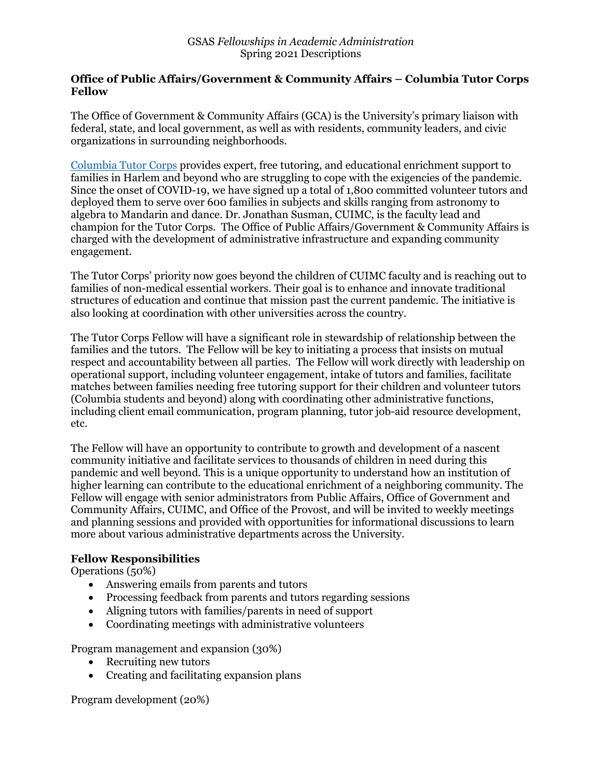#### **Office of Public Affairs/Government & Community Affairs – Columbia Tutor Corps Fellow**

The Office of Government & Community Affairs (GCA) is the University's primary liaison with federal, state, and local government, as well as with residents, community leaders, and civic organizations in surrounding neighborhoods.

Columbia Tutor Corps provides expert, free tutoring, and educational enrichment support to families in Harlem and beyond who are struggling to cope with the exigencies of the pandemic. Since the onset of COVID-19, we have signed up a total of 1,800 committed volunteer tutors and deployed them to serve over 600 families in subjects and skills ranging from astronomy to algebra to Mandarin and dance. Dr. Jonathan Susman, CUIMC, is the faculty lead and champion for the Tutor Corps. The Office of Public Affairs/Government & Community Affairs is charged with the development of administrative infrastructure and expanding community engagement.

The Tutor Corps' priority now goes beyond the children of CUIMC faculty and is reaching out to families of non-medical essential workers. Their goal is to enhance and innovate traditional structures of education and continue that mission past the current pandemic. The initiative is also looking at coordination with other universities across the country.

The Tutor Corps Fellow will have a significant role in stewardship of relationship between the families and the tutors. The Fellow will be key to initiating a process that insists on mutual respect and accountability between all parties. The Fellow will work directly with leadership on operational support, including volunteer engagement, intake of tutors and families, facilitate matches between families needing free tutoring support for their children and volunteer tutors (Columbia students and beyond) along with coordinating other administrative functions, including client email communication, program planning, tutor job-aid resource development, etc.

The Fellow will have an opportunity to contribute to growth and development of a nascent community initiative and facilitate services to thousands of children in need during this pandemic and well beyond. This is a unique opportunity to understand how an institution of higher learning can contribute to the educational enrichment of a neighboring community. The Fellow will engage with senior administrators from Public Affairs, Office of Government and Community Affairs, CUIMC, and Office of the Provost, and will be invited to weekly meetings and planning sessions and provided with opportunities for informational discussions to learn more about various administrative departments across the University.

## **Fellow Responsibilities**

Operations (50%)

- Answering emails from parents and tutors
- Processing feedback from parents and tutors regarding sessions
- Aligning tutors with families/parents in need of support
- Coordinating meetings with administrative volunteers

Program management and expansion (30%)

- Recruiting new tutors
- Creating and facilitating expansion plans

Program development (20%)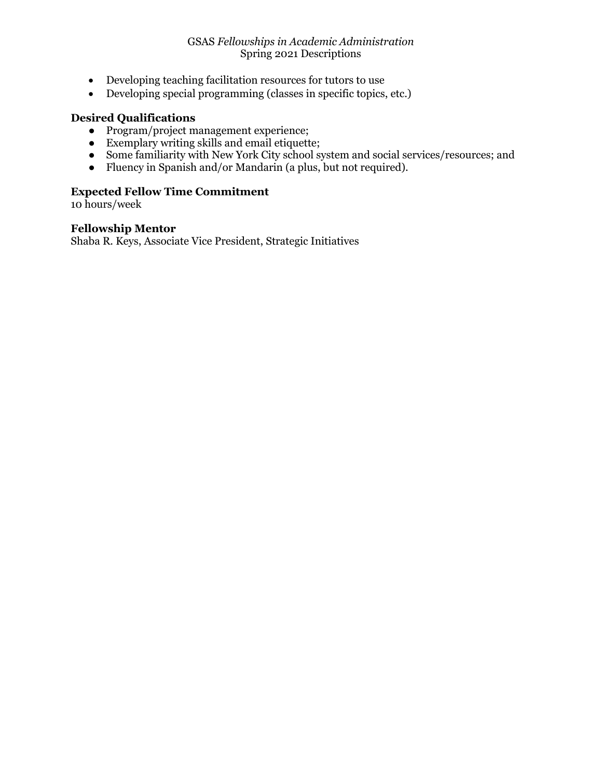- Developing teaching facilitation resources for tutors to use
- Developing special programming (classes in specific topics, etc.)

# **Desired Qualifications**

- Program/project management experience;
- Exemplary writing skills and email etiquette;
- Some familiarity with New York City school system and social services/resources; and
- Fluency in Spanish and/or Mandarin (a plus, but not required).

# **Expected Fellow Time Commitment**

10 hours/week

#### **Fellowship Mentor**

Shaba R. Keys, Associate Vice President, Strategic Initiatives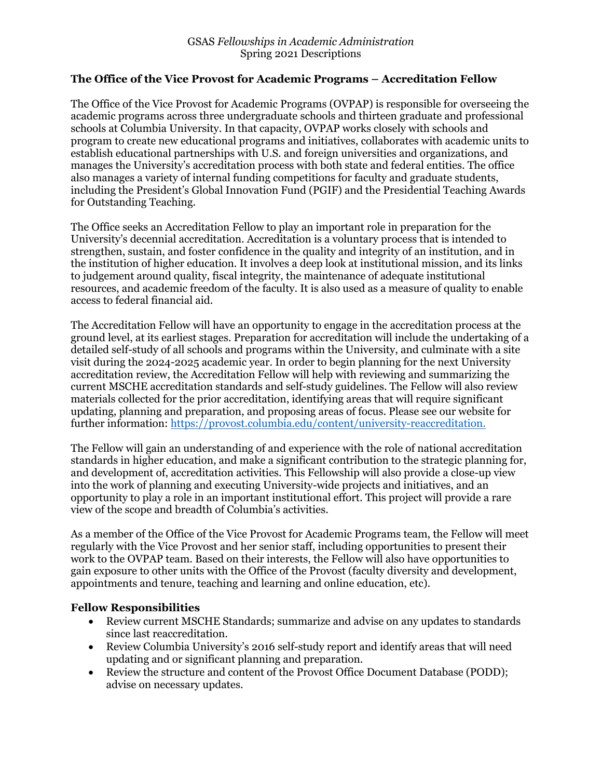## **The Office of the Vice Provost for Academic Programs – Accreditation Fellow**

The Office of the Vice Provost for Academic Programs (OVPAP) is responsible for overseeing the academic programs across three undergraduate schools and thirteen graduate and professional schools at Columbia University. In that capacity, OVPAP works closely with schools and program to create new educational programs and initiatives, collaborates with academic units to establish educational partnerships with U.S. and foreign universities and organizations, and manages the University's accreditation process with both state and federal entities. The office also manages a variety of internal funding competitions for faculty and graduate students, including the President's Global Innovation Fund (PGIF) and the Presidential Teaching Awards for Outstanding Teaching.

The Office seeks an Accreditation Fellow to play an important role in preparation for the University's decennial accreditation. Accreditation is a voluntary process that is intended to strengthen, sustain, and foster confidence in the quality and integrity of an institution, and in the institution of higher education. It involves a deep look at institutional mission, and its links to judgement around quality, fiscal integrity, the maintenance of adequate institutional resources, and academic freedom of the faculty. It is also used as a measure of quality to enable access to federal financial aid.

The Accreditation Fellow will have an opportunity to engage in the accreditation process at the ground level, at its earliest stages. Preparation for accreditation will include the undertaking of a detailed self-study of all schools and programs within the University, and culminate with a site visit during the 2024-2025 academic year. In order to begin planning for the next University accreditation review, the Accreditation Fellow will help with reviewing and summarizing the current MSCHE accreditation standards and self-study guidelines. The Fellow will also review materials collected for the prior accreditation, identifying areas that will require significant updating, planning and preparation, and proposing areas of focus. Please see our website for further information: https://provost.columbia.edu/content/university-reaccreditation.

The Fellow will gain an understanding of and experience with the role of national accreditation standards in higher education, and make a significant contribution to the strategic planning for, and development of, accreditation activities. This Fellowship will also provide a close-up view into the work of planning and executing University-wide projects and initiatives, and an opportunity to play a role in an important institutional effort. This project will provide a rare view of the scope and breadth of Columbia's activities.

As a member of the Office of the Vice Provost for Academic Programs team, the Fellow will meet regularly with the Vice Provost and her senior staff, including opportunities to present their work to the OVPAP team. Based on their interests, the Fellow will also have opportunities to gain exposure to other units with the Office of the Provost (faculty diversity and development, appointments and tenure, teaching and learning and online education, etc).

#### **Fellow Responsibilities**

- Review current MSCHE Standards; summarize and advise on any updates to standards since last reaccreditation.
- Review Columbia University's 2016 self-study report and identify areas that will need updating and or significant planning and preparation.
- Review the structure and content of the Provost Office Document Database (PODD): advise on necessary updates.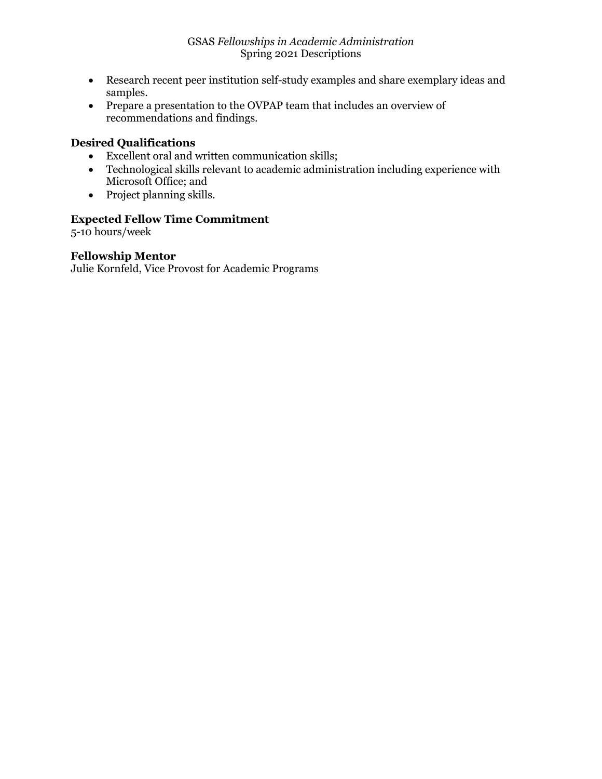- Research recent peer institution self-study examples and share exemplary ideas and samples.
- Prepare a presentation to the OVPAP team that includes an overview of recommendations and findings.

# **Desired Qualifications**

- Excellent oral and written communication skills;
- Technological skills relevant to academic administration including experience with Microsoft Office; and
- Project planning skills.

# **Expected Fellow Time Commitment**

5-10 hours/week

# **Fellowship Mentor**

Julie Kornfeld, Vice Provost for Academic Programs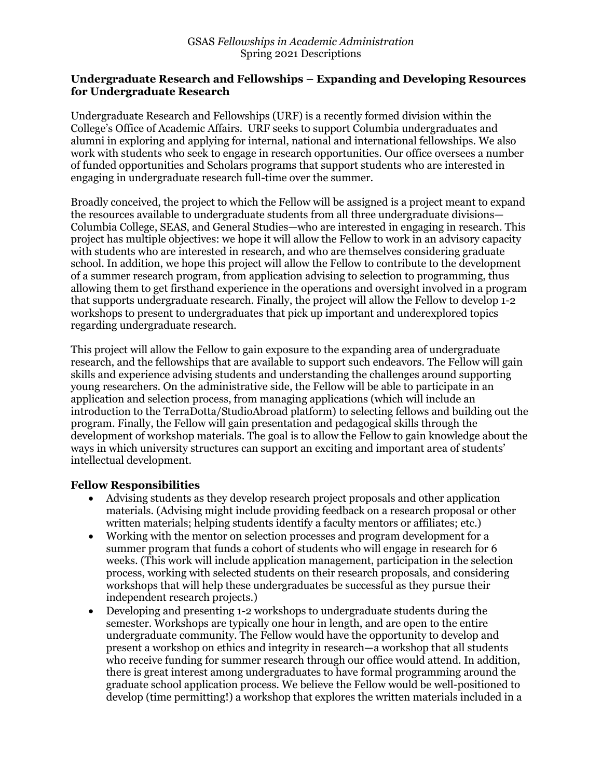## **Undergraduate Research and Fellowships – Expanding and Developing Resources for Undergraduate Research**

Undergraduate Research and Fellowships (URF) is a recently formed division within the College's Office of Academic Affairs. URF seeks to support Columbia undergraduates and alumni in exploring and applying for internal, national and international fellowships. We also work with students who seek to engage in research opportunities. Our office oversees a number of funded opportunities and Scholars programs that support students who are interested in engaging in undergraduate research full-time over the summer.

Broadly conceived, the project to which the Fellow will be assigned is a project meant to expand the resources available to undergraduate students from all three undergraduate divisions— Columbia College, SEAS, and General Studies—who are interested in engaging in research. This project has multiple objectives: we hope it will allow the Fellow to work in an advisory capacity with students who are interested in research, and who are themselves considering graduate school. In addition, we hope this project will allow the Fellow to contribute to the development of a summer research program, from application advising to selection to programming, thus allowing them to get firsthand experience in the operations and oversight involved in a program that supports undergraduate research. Finally, the project will allow the Fellow to develop 1-2 workshops to present to undergraduates that pick up important and underexplored topics regarding undergraduate research.

This project will allow the Fellow to gain exposure to the expanding area of undergraduate research, and the fellowships that are available to support such endeavors. The Fellow will gain skills and experience advising students and understanding the challenges around supporting young researchers. On the administrative side, the Fellow will be able to participate in an application and selection process, from managing applications (which will include an introduction to the TerraDotta/StudioAbroad platform) to selecting fellows and building out the program. Finally, the Fellow will gain presentation and pedagogical skills through the development of workshop materials. The goal is to allow the Fellow to gain knowledge about the ways in which university structures can support an exciting and important area of students' intellectual development.

## **Fellow Responsibilities**

- Advising students as they develop research project proposals and other application materials. (Advising might include providing feedback on a research proposal or other written materials; helping students identify a faculty mentors or affiliates; etc.)
- Working with the mentor on selection processes and program development for a summer program that funds a cohort of students who will engage in research for 6 weeks. (This work will include application management, participation in the selection process, working with selected students on their research proposals, and considering workshops that will help these undergraduates be successful as they pursue their independent research projects.)
- Developing and presenting 1-2 workshops to undergraduate students during the semester. Workshops are typically one hour in length, and are open to the entire undergraduate community. The Fellow would have the opportunity to develop and present a workshop on ethics and integrity in research—a workshop that all students who receive funding for summer research through our office would attend. In addition, there is great interest among undergraduates to have formal programming around the graduate school application process. We believe the Fellow would be well-positioned to develop (time permitting!) a workshop that explores the written materials included in a